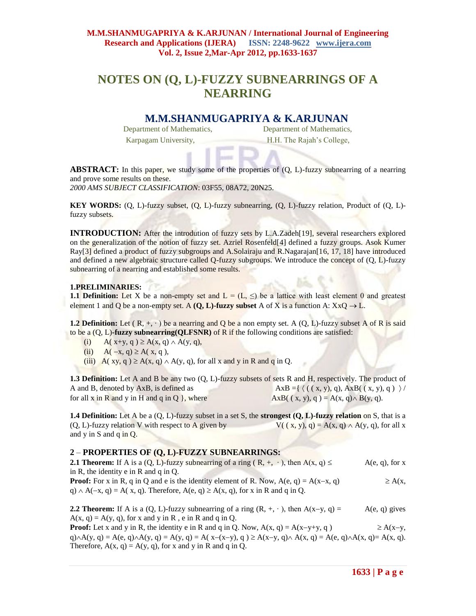# **NOTES ON (Q, L)-FUZZY SUBNEARRINGS OF A NEARRING**

# **M.M.SHANMUGAPRIYA & K.ARJUNAN**

Department of Mathematics, Department of Mathematics, Karpagam University, **H.H. The Rajah's College**,

**ABSTRACT:** In this paper, we study some of the properties of  $(Q, L)$ -fuzzy subnearring of a nearring and prove some results on these.

*2000 AMS SUBJECT CLASSIFICATION*: 03F55, 08A72, 20N25.

**KEY WORDS:** (Q, L)-fuzzy subset, (Q, L)-fuzzy subnearring, (Q, L)-fuzzy relation, Product of (Q, L) fuzzy subsets.

**INTRODUCTION:** After the introdution of fuzzy sets by L.A.Zadeh[19], several researchers explored on the generalization of the notion of fuzzy set. Azriel Rosenfeld[4] defined a fuzzy groups. Asok Kumer Ray[3] defined a product of fuzzy subgroups and A.Solairaju and R.Nagarajan[16, 17, 18] have introduced and defined a new algebraic structure called Q-fuzzy subgroups. We introduce the concept of (Q, L)-fuzzy subnearring of a nearring and established some results.

#### **1.PRELIMINARIES:**

**1.1 Definition:** Let X be a non-empty set and  $L = (L, \leq)$  be a lattice with least element 0 and greatest element 1 and Q be a non-empty set. A  $(Q, L)$ -fuzzy subset A of X is a function A:  $XxQ \rightarrow L$ .

**1.2 Definition:** Let  $(R, +, \cdot)$  be a nearring and Q be a non empty set. A  $(Q, L)$ -fuzzy subset A of R is said to be a (Q, L)**-fuzzy subnearring(QLFSNR)** of R if the following conditions are satisfied:

- (i)  $A(x+y, q) \ge A(x, q) \wedge A(y, q)$ ,
- (ii)  $A(-x, q) \ge A(x, q)$ ,
- (iii)  $A(xy, q) \ge A(x, q) \wedge A(y, q)$ , for all x and y in R and q in Q.

**1.3 Definition:** Let A and B be any two (Q, L)-fuzzy subsets of sets R and H, respectively. The product of A and B, denoted by AxB, is defined as  $AxB = \{ (\, (\, x, y), q), \, AxB(\, (\, x, y), q) \, \} /$ for all x in R and y in H and q in Q }, where  $AxB(( x, y), q) = A(x, q) \wedge B(y, q)$ .

**1.4 Definition:** Let A be a (Q, L)-fuzzy subset in a set S, the **strongest (Q, L)-fuzzy relation** on S, that is a (Q, L)-fuzzy relation V with respect to A given by  $V((x, y), q) = A(x, q) \wedge A(y, q)$ , for all x and y in S and q in Q.

## **2** – **PROPERTIES OF (Q, L)-FUZZY SUBNEARRINGS:**

**2.1 Theorem:** If A is a (Q, L)-fuzzy subnearring of a ring  $(R, +, \cdot)$ , then  $A(x, q) \leq A(e, q)$ , for x in R, the identity e in R and q in Q. **Proof:** For x in R, q in Q and e is the identity element of R. Now,  $A(e, q) = A(x-x, q) \geq A(x, q)$  $q) \wedge A(-x, q) = A(x, q)$ . Therefore,  $A(e, q) \ge A(x, q)$ , for x in R and q in O.

**2.2 Theorem:** If A is a  $(Q, L)$ -fuzzy subnearring of a ring  $(R, +, \cdot)$ , then  $A(x-y, q) = A(e, q)$  gives  $A(x, q) = A(y, q)$ , for x and y in R, e in R and q in Q.

**Proof:** Let x and y in R, the identity e in R and q in Q. Now,  $A(x, q) = A(x-y+y, q) \geq A(x-y, q)$  $q \wedge A(y, q) = A(e, q) \wedge A(y, q) = A(y, q) = A(x - (x - y), q) \ge A(x - y, q) \wedge A(x, q) = A(e, q) \wedge A(x, q) = A(x, q).$ Therefore,  $A(x, q) = A(y, q)$ , for x and y in R and q in Q.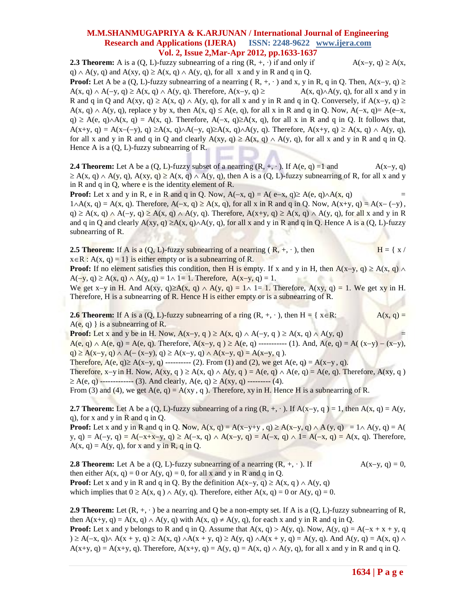**2.3 Theorem:** A is a  $(Q, L)$ -fuzzy subnearring of a ring  $(R, +, \cdot)$  if and only if  $A(x-y, q) \ge A(x,$ q)  $\land$  A(y, q) and A(xy, q)  $\geq$  A(x, q)  $\land$  A(y, q), for all x and y in R and q in Q.

**Proof:** Let A be a (Q, L)-fuzzy subnearring of a nearring  $(R, +, \cdot)$  and x, y in R, q in Q. Then,  $A(x-y, q) \ge$  $A(x, q) \wedge A(-y, q) \ge A(x, q) \wedge A(y, q)$ . Therefore,  $A(x-y, q) \ge A(x, q) \wedge A(y, q)$ , for all x and y in R and q in Q and  $A(xy, q) \ge A(x, q) \wedge A(y, q)$ , for all x and y in R and q in Q. Conversely, if  $A(x-y, q) \ge A(x, q)$  $A(x, q) \wedge A(y, q)$ , replace y by x, then  $A(x, q) \leq A(e, q)$ , for all x in R and q in Q. Now,  $A(-x, q) = A(e-x, q)$  $q \ge A(e, q) \wedge A(x, q) = A(x, q)$ . Therefore,  $A(-x, q) \ge A(x, q)$ , for all x in R and q in Q. It follows that,  $A(x+y, q) = A(x-(-y), q) \ge A(x, q) \wedge A(-y, q) \ge A(x, q) \wedge A(y, q)$ . Therefore,  $A(x+y, q) \ge A(x, q) \wedge A(y, q)$ , for all x and y in R and q in Q and clearly  $A(xy, q) \ge A(x, q) \wedge A(y, q)$ , for all x and y in R and q in Q. Hence A is a (Q, L)-fuzzy subnearring of R.

**2.4 Theorem:** Let A be a (Q, L)-fuzzy subset of a nearring  $(R, +, \cdot)$ . If  $A(e, q) = 1$  and  $A(x-y, q)$  $\geq A(x, q) \wedge A(y, q)$ ,  $A(xy, q) \geq A(x, q) \wedge A(y, q)$ , then A is a (Q, L)-fuzzy subnearring of R, for all x and y in R and q in  $Q$ , where e is the identity element of R.

**Proof:** Let x and y in R, e in R and q in Q. Now,  $A(-x, q) = A(e-x, q) \ge A(e, q) \wedge A(x, q)$  $1 \wedge A(x, q) = A(x, q)$ . Therefore,  $A(-x, q) \ge A(x, q)$ , for all x in R and q in Q. Now,  $A(x+y, q) = A(x-(-y))$ ,  $q \ge A(x, q) \wedge A(-y, q) \ge A(x, q) \wedge A(y, q)$ . Therefore,  $A(x+y, q) \ge A(x, q) \wedge A(y, q)$ , for all x and y in R and q in Q and clearly  $A(xy, q) \ge A(x, q) \wedge A(y, q)$ , for all x and y in R and q in Q. Hence A is a (Q, L)-fuzzy subnearring of R.

**2.5 Theorem:** If A is a (Q, L)-fuzzy subnearring of a nearring  $(R, +, \cdot)$ , then  $H = \{ x /$  $x \in R$ :  $A(x, q) = 1$  is either empty or is a subnearring of R.

**Proof:** If no element satisfies this condition, then H is empty. If x and y in H, then  $A(x-y, q) \ge A(x, q) \wedge$  $A(-y, q) \ge A(x, q) \wedge A(y, q) = 1 \wedge 1 = 1$ . Therefore,  $A(x-y, q) = 1$ .

We get x-y in H. And A(xy, q) $\geq$ A(x, q)  $\wedge$  A(y, q) = 1 $\wedge$  1= 1. Therefore, A(xy, q) = 1. We get xy in H. Therefore, H is a subnearring of R. Hence H is either empty or is a subnearring of R.

**2.6 Theorem:** If A is a (Q, L)-fuzzy subnearring of a ring  $(R, +, \cdot)$ , then H = { x \ine R: A(x, q) =  $A(e, q)$  is a subnearring of R.

**Proof:** Let x and y be in H. Now,  $A(x-y, q) \ge A(x, q) \wedge A(-y, q) \ge A(x, q) \wedge A(y, q)$  $A(e, q) \wedge A(e, q) = A(e, q)$ . Therefore,  $A(x-y, q) \ge A(e, q)$  ---------- (1). And,  $A(e, q) = A((x-y) - (x-y),$  $q) \ge A(x-y, q) \wedge A(-(x-y), q) \ge A(x-y, q) \wedge A(x-y, q) = A(x-y, q)$ .

Therefore,  $A(e, q) \ge A(x-y, q)$  ---------- (2). From (1) and (2), we get  $A(e, q) = A(x-y, q)$ .

Therefore, x-y in H. Now,  $A(xy, q) \ge A(x, q) \wedge A(y, q) = A(e, q) \wedge A(e, q) = A(e, q)$ . Therefore,  $A(xy, q)$  $\geq A(e, q)$  -------------- (3). And clearly,  $A(e, q) \geq A(xy, q)$  --------- (4).

From (3) and (4), we get  $A(e, q) = A(xy, q)$ . Therefore, xy in H. Hence H is a subnearring of R.

**2.7 Theorem:** Let A be a (Q, L)-fuzzy subnearring of a ring  $(R, +, \cdot)$ . If  $A(x-y, q) = 1$ , then  $A(x, q) = A(y, q)$ q), for x and y in R and q in Q.

**Proof:** Let x and y in R and q in Q. Now,  $A(x, q) = A(x-y+y, q) \ge A(x-y, q) \wedge A(y, q) = 1 \wedge A(y, q) = A(y, q)$ y, q) = A(-y, q) = A(-x+x-y, q)  $\geq$  A(-x, q)  $\land$  A(x-y, q) = A(-x, q)  $\land$  1= A(-x, q) = A(x, q). Therefore,  $A(x, q) = A(y, q)$ , for x and y in R, q in Q.

**2.8 Theorem:** Let A be a  $(Q, L)$ -fuzzy subnearring of a nearring  $(R, +, \cdot)$ . If  $A(x-y, q) = 0$ , then either  $A(x, q) = 0$  or  $A(y, q) = 0$ , for all x and y in R and q in Q. **Proof:** Let x and y in R and q in Q. By the definition  $A(x-y, q) \ge A(x, q) \wedge A(y, q)$ which implies that  $0 \ge A(x, q) \wedge A(y, q)$ . Therefore, either  $A(x, q) = 0$  or  $A(y, q) = 0$ .

**2.9 Theorem:** Let  $(R, +, \cdot)$  be a nearring and Q be a non-empty set. If A is a  $(Q, L)$ -fuzzy subnearring of R, then A(x+y, q) = A(x, q)  $\wedge$  A(y, q) with A(x, q)  $\neq$  A(y, q), for each x and y in R and q in Q. **Proof:** Let x and y belongs to R and q in Q. Assume that  $A(x, q) > A(y, q)$ . Now,  $A(y, q) = A(-x + x + y, q)$  $\lambda \ge A(-x, q) \wedge A(x + y, q) \ge A(x, q) \wedge A(x + y, q) \ge A(y, q) \wedge A(x + y, q) = A(y, q)$ . And  $A(y, q) = A(x, q) \wedge A(x + y, q)$ 

 $A(x+y, q) = A(x+y, q)$ . Therefore,  $A(x+y, q) = A(y, q) = A(x, q) \wedge A(y, q)$ , for all x and y in R and q in Q.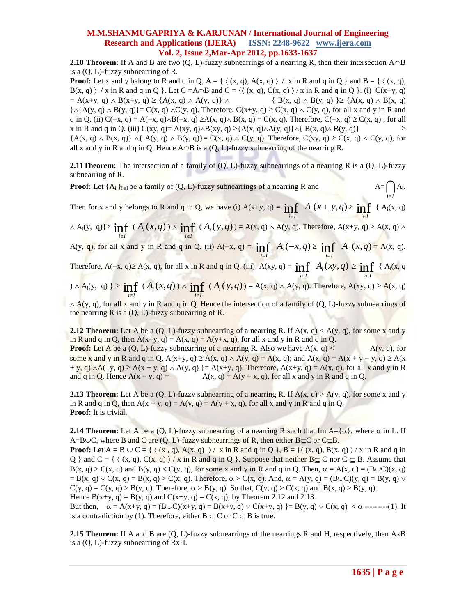**2.10 Theorem:** If A and B are two  $(Q, L)$ -fuzzy subnearrings of a nearring R, then their intersection  $A \cap B$ is a (Q, L)-fuzzy subnearring of R.

**Proof:** Let x and y belong to R and q in Q,  $A = \{ \langle (x, q), A(x, q) \rangle / x \text{ in R and q in Q } \}$  and  $B = \{ \langle (x, q), A(x, q) \rangle / x \text{ in R and q in Q } \}$  $B(x, q)$  / x in R and q in Q }. Let C =A $\cap$ B and C = { $\langle (x, q), C(x, q) \rangle / x$  in R and q in Q }. (i) C(x+y, q)  $= A(x+y, q) \wedge B(x+y, q) \geq {A(x, q) \wedge A(y, q)} \wedge (B(x, q) \wedge B(y, q)) \geq {A(x, q) \wedge B(x, q)}$  $\{\lambda\{A(y, q) \wedge B(y, q)\} = C(x, q) \wedge C(y, q)$ . Therefore,  $C(x+y, q) \ge C(x, q) \wedge C(y, q)$ , for all x and y in R and q in Q. (ii) C( $-x$ , q) = A( $-x$ , q) $\triangle B(-x, q) \ge A(x, q) \triangle B(x, q) = C(x, q)$ . Therefore, C( $-x$ , q)  $\ge C(x, q)$ , for all x in R and q in Q. (iii) C(xy, q)= A(xy, q) $\triangle$ B(xy, q)  $\geq$ {A(x, q) $\triangle$ A(y, q)} $\triangle$  B(x, q) $\triangle$  B(y, q)}  $\geq$  ${A(x, q) \wedge B(x, q)} \wedge {A(y, q) \wedge B(y, q)} = C(x, q) \wedge C(y, q)$ . Therefore,  $C(xy, q) \ge C(x, q) \wedge C(y, q)$ , for all x and y in R and q in Q. Hence  $A \cap B$  is a (Q, L)-fuzzy subnearring of the nearring R.

**2.11Theorem:** The intersection of a family of  $(Q, L)$ -fuzzy subnearrings of a nearring R is a  $(Q, L)$ -fuzzy subnearring of R.

**Proof:** Let  $\{A_i\}_{i\in I}$  be a family of  $(Q, L)$ -fuzzy subnearrings of a nearring R and  $\bigcap_{i\in I}$  $A_i$ .

Then for x and y belongs to R and q in Q, we have (i)  $A(x+y, q) = \inf_{i \in I}$  $A_i(x+y,q) \geq \inf_{i \in I}$  ${A_i(x, q)}$ 

 $\land$  A<sub>i</sub>(y, q)  $\geq \inf_{i \in I}$  $(A_i(x,q)) \wedge \inf_{i \in I}$  $(A_i(y, q)) = A(x, q) \wedge A(y, q)$ . Therefore,  $A(x+y, q) \ge A(x, q) \wedge A(y, q)$ 

A(y, q), for all x and y in R and q in Q. (ii)  $A(-x, q) = \inf_{a \in A} A_i(-x, q) \ge \inf_{a \in A} A_i(x, q) = A(x, q)$ . *iI iI*

Therefore,  $A(-x, q) \ge A(x, q)$ , for all x in R and q in Q. (iii)  $A(xy, q) = \inf_{i \in I}$  $A_i(xy, q) \geq \inf_{i \in I}$  ${A_i(x, q)}$ 

$$
0 \wedge A_i(y, q) \ge \inf_{i \in I} (A_i(x, q)) \wedge \inf_{i \in I} (A_i(y, q)) = A(x, q) \wedge A(y, q). \text{ Therefore, } A(xy, q) \ge A(x, q)
$$

 $\land$  A(y, q), for all x and y in R and q in Q. Hence the intersection of a family of (Q, L)-fuzzy subnearrings of the nearring  $\overline{R}$  is a  $(Q, L)$ -fuzzy subnearring of  $\overline{R}$ .

**2.12 Theorem:** Let A be a  $(Q, L)$ -fuzzy subnearring of a nearring R. If  $A(x, q) < A(y, q)$ , for some x and y in R and q in Q, then  $A(x+y, q) = A(x, q) = A(y+x, q)$ , for all x and y in R and q in Q.

**Proof:** Let A be a  $(Q, L)$ -fuzzy subnearring of a nearring R. Also we have  $A(x, q) < A(y, q)$ , for some x and y in R and q in Q,  $A(x+y, q) \ge A(x, q) \wedge A(y, q) = A(x, q)$ ; and  $A(x, q) = A(x + y - y, q) \ge A(x, q)$  $+ y$ , q)  $\wedge$  A(-y, q)  $\geq$  A(x + y, q)  $\wedge$  A(y, q)  $\} = A(x+y, q)$ . Therefore, A(x+y, q) = A(x, q), for all x and y in R and q in Q. Hence  $A(x + y, q) = A(x, q) = A(y + x, q)$ , for all x and y in R and q in Q.

**2.13 Theorem:** Let A be a  $(Q, L)$ -fuzzy subnearring of a nearring R. If  $A(x, q) > A(y, q)$ , for some x and y in R and q in Q, then  $A(x + y, q) = A(y, q) = A(y + x, q)$ , for all x and y in R and q in Q. **Proof:** It is trivial.

**2.14 Theorem:** Let A be a (Q, L)-fuzzy subnearring of a nearring R such that Im  $A = \{\alpha\}$ , where  $\alpha$  in L. If A=B $\cup$ C, where B and C are (Q, L)-fuzzy subnearrings of R, then either B $\subseteq$ C or C $\subseteq$ B.

**Proof:** Let  $A = B \cup C = \{ \langle (x, q), A(x, q) \rangle \rangle / x$  in R and q in Q  $\}$ ,  $B = \{ \langle (x, q), B(x, q) \rangle / x$  in R and q in Q } and C = {  $\langle (x, q), C(x, q) \rangle / x$  in R and q in Q }. Suppose that neither B  $\subset$  C nor C  $\subset$  B. Assume that  $B(x, q) > C(x, q)$  and  $B(y, q) < C(y, q)$ , for some x and y in R and q in Q. Then,  $\alpha = A(x, q) = (B \cup C)(x, q)$  $= B(x, q) \vee C(x, q) = B(x, q) > C(x, q)$ . Therefore,  $\alpha > C(x, q)$ . And,  $\alpha = A(y, q) = (B \cup C)(y, q) = B(y, q) \vee C(x, q)$  $C(y, q) = C(y, q) > B(y, q)$ . Therefore,  $\alpha > B(y, q)$ . So that,  $C(y, q) > C(x, q)$  and  $B(x, q) > B(y, q)$ . Hence  $B(x+y, q) = B(y, q)$  and  $C(x+y, q) = C(x, q)$ , by Theorem 2.12 and 2.13.

But then,  $\alpha = A(x+y, q) = (B \cup C)(x+y, q) = B(x+y, q) \vee C(x+y, q) = B(y, q) \vee C(x, q) < \alpha$  ---------(1). It is a contradiction by (1). Therefore, either  $B \subseteq C$  or  $C \subseteq B$  is true.

**2.15 Theorem:** If A and B are (Q, L)-fuzzy subnearrings of the nearrings R and H, respectively, then AxB is a (Q, L)-fuzzy subnearring of RxH.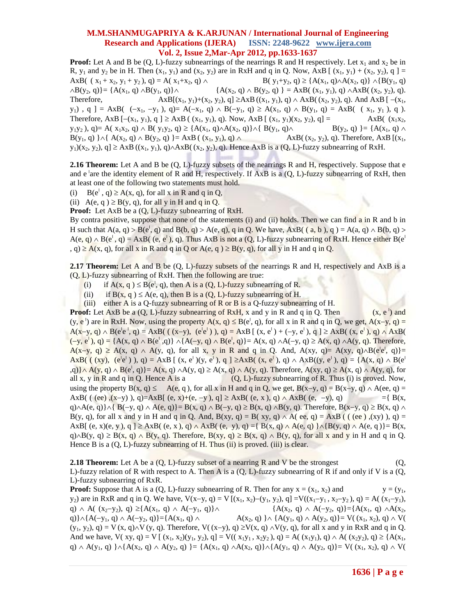**Proof:** Let A and B be  $(Q, L)$ -fuzzy subnearrings of the nearrings R and H respectively. Let  $x_1$  and  $x_2$  be in R,  $y_1$  and  $y_2$  be in H. Then  $(x_1, y_1)$  and  $(x_2, y_2)$  are in RxH and q in Q. Now, AxB  $[(x_1, y_1) + (x_2, y_2), q] =$ AxB(  $(x_1 + x_2, y_1 + y_2), q$ ) = A( $x_1 + x_2, q$ )  $\wedge$  B( $y_1 + y_2, q$ )  $\geq$  {A( $x_1, q$ ) $\wedge$ A( $x_2, q$ )}  $\wedge$ {B( $y_1, q$ )  $\wedge B(y_2, q)$ } = {A(x<sub>1</sub>, q)  $\wedge B(y_1, q)$ }  $\wedge$  {A(x<sub>2</sub>, q)  $\wedge B(y_2, q)$  } = AxB( (x<sub>1</sub>, y<sub>1</sub>), q)  $\wedge AxB((x_2, y_2), q)$ . Therefore,  $AxB[(x_1, y_1)+(x_2, y_2), q] \geq AxB((x_1, y_1), q) \wedge AxB((x_2, y_2), q)$ . And  $AxB[-(x_1, y_1)+(x_2, y_2), q] \geq AxB$  $y_1$ ,  $q$ ] = AxB(  $(-x_1, -y_1)$ ,  $q$ )= A $(-x_1, q) \wedge B(-y_1, q) \ge A(x_1, q) \wedge B(y_1, q) = AxB$ (  $(x_1, y_1)$ , q ). Therefore, AxB  $[-(x_1, y_1), q] \geq AxB$   $((x_1, y_1), q)$ . Now, AxB  $[(x_1, y_1)(x_2, y_2), q] = AxB$   $(x_1x_2, y_1x_3, y_2y_1, y_1z_2, y_2z_3, y_1z_3, y_2z_3, y_1z_3, y_2z_3, y_1z_3, y_1z_3, y_1z_3, y_1z_3, y_1z_3, y_1z_3, y_1z_3, y_1z_3, y_1z_3, y_1z_3, y_1$  $y_1y_2$ ,  $q$ ) = A( $x_1x_2$ ,  $q$ )  $\land$  B( $y_1y_2$ ,  $q$ )  $\geq$  {A( $x_1$ ,  $q$ ) $\land$ A( $x_2$ ,  $q$ )} $\land$ { B( $y_1$ ,  $q$ ) $\land$ <br>B( $y_2$ ,  $q$ ) } = {A( $x_1$ ,  $q$ ) $\land$  $B(y_1, q)$   $\{\wedge\{A(x_2, q) \wedge B(y_2, q)\}\} = AxB$  ( $(x_1, y_1), q$ )  $\wedge$   $AxB$  ( $(x_2, y_2), q$ ). Therefore, AxB [ $(x_1, y_2), q$ ]  $y_1$  $(x_2, y_2)$ ,  $q$ ]  $\geq$  AxB  $((x_1, y_1), q) \land$ AxB $((x_2, y_2), q)$ . Hence AxB is a  $(Q, L)$ -fuzzy subnearring of RxH.

**2.16 Theorem:** Let A and B be (Q, L)-fuzzy subsets of the nearrings R and H, respectively. Suppose that e and e <sup>l</sup>are the identity element of R and H, respectively. If AxB is a  $(Q, L)$ -fuzzy subnearring of RxH, then at least one of the following two statements must hold.

- (i)  $B(e^t, q) \ge A(x, q)$ , for all x in R and q in Q,
- (ii)  $A(e, q) \ge B(y, q)$ , for all y in H and q in Q.

**Proof:** Let AxB be a  $(Q, L)$ -fuzzy subnearring of RxH.

By contra positive, suppose that none of the statements (i) and (ii) holds. Then we can find a in R and b in H such that  $A(a, q) > B(e^{\vert}, q)$  and  $B(b, q) > A(e, q)$ , q in Q. We have,  $AxB((a, b), q) = A(a, q) \wedge B(b, q)$  $A(e, q) \wedge B(e^{\perp}, q) = AxB( (e, e^{\perp}), q)$ . Thus  $AxB$  is not a  $(Q, L)$ -fuzzy subnearring of RxH. Hence either  $B(e^{\perp}, q)$  $(a, q) \ge A(x, q)$ , for all x in R and q in Q or A(e, q)  $\ge B(y, q)$ , for all y in H and q in Q.

**2.17 Theorem:** Let A and B be (Q, L)-fuzzy subsets of the nearrings R and H, respectively and AxB is a (Q, L)-fuzzy subnearring of RxH. Then the following are true:

- (i) if  $A(x, q) \leq B(e^l, q)$ , then A is a  $(Q, L)$ -fuzzy subnearring of R.
- (ii) if  $B(x, q) \le A(e, q)$ , then B is a  $(Q, L)$ -fuzzy subnearring of H.
- (iii) either A is a Q-fuzzy subnearring of R or B is a Q-fuzzy subnearring of H.

**Proof:** Let AxB be a (Q, L)-fuzzy subnearring of RxH, x and y in R and q in Q. Then  $(x, e<sup>1</sup>)$  and  $(y, e<sup>1</sup>)$  are in RxH. Now, using the property  $A(x, q) \leq B(e<sup>1</sup>, q)$ , for all x in R and q in Q, we get,  $A(x-y, q) =$  $A(x-y, q) \wedge B(e^{\vert}e^{\vert}, q) = AxB((x-y), (e^{\vert}e^{\vert})), q) = AxB[(x, e^{\vert}) + (-y, e^{\vert}), q] \geq AxB((x, e^{\vert}), q) \wedge AxB((x, e^{\vert}), q)$  $(-y, e^{\prime}), q$  = {A(x, q)  $\wedge$  B(e<sup>1</sup>,q)}  $\wedge$ {A(-y, q)  $\wedge$  B(e<sup>1</sup>, q)} = A(x, q)  $\wedge$ A(-y, q) ≥ A(x, q)  $\wedge$ A(y, q). Therefore,  $A(x-y, q) \ge A(x, q) \wedge A(y, q)$ , for all x, y in R and q in Q. And,  $A(xy, q) = A(xy, q) \wedge B(e^{|e|}, q) =$  $\overline{AB}((x, y), (e^{\prime}e^{\prime}), q) = \overline{A}xB$   $(x, e^{\prime})(y, e^{\prime}), q$   $\geq \overline{A}xB((x, e^{\prime}), q) \wedge \overline{A}xB((y, e^{\prime}), q) = \overline{A}(x, q) \wedge \overline{B}(e^{\prime})$  $\{a, q\} \wedge A(y, q) \wedge B(e^{\prime}, q)\} = A(x, q) \wedge A(y, q) \geq A(x, q) \wedge A(y, q)$ . Therefore,  $A(xy, q) \geq A(x, q) \wedge A(y, q)$ , for all x, y in R and q in Q. Hence A is a  $(Q, L)$ -fuzzy subnearring of R. Thus (i) is proved. Now, using the property  $B(x, q) \leq A(e, q)$ , for all x in H and q in Q, we get,  $B(x-y, q) = B(x-y, q) \wedge A(ee, q) =$ AxB( ( (ee)  $(x-y)$  ), q = AxB[ (e, x)+(e, -y), q]  $\ge$  AxB( (e, x), q)  $\land$  AxB( (e, -y), q) = { B(x,  $q\wedge A(e, q)$   $\wedge$  {  $B(-y, q) \wedge A(e, q)$ }=  $B(x, q) \wedge B(-y, q) \ge B(x, q) \wedge B(y, q)$ . Therefore,  $B(x-y, q) \ge B(x, q) \wedge B(y, q)$ B(y, q), for all x and y in H and q in Q. And, B(xy, q) = B(xy, q)  $\land$  A( ee, q) = AxB ( ( (ee),(xy), q) = AxB[ (e, x)(e, y), q  $\geq$  AxB( (e, x), q)  $\wedge$  AxB( (e, y), q) ={ B(x, q)  $\wedge$  A(e, q)  $\geq$  A(g, q)  $\wedge$  A(e, q)  $\geq$  B(x,  $q \wedge B(y, q) \geq B(x, q) \wedge B(y, q)$ . Therefore,  $B(xy, q) \geq B(x, q) \wedge B(y, q)$ , for all x and y in H and q in Q. Hence B is a  $(Q, L)$ -fuzzy subnearring of H. Thus  $(ii)$  is proved.  $(iii)$  is clear.

**2.18 Theorem:** Let A be a (Q, L)-fuzzy subset of a nearring R and V be the strongest (Q, L)-fuzzy relation of R with respect to A. Then A is a  $(Q, L)$ -fuzzy subnearring of R if and only if V is a  $(Q, L)$ L)-fuzzy subnearring of RxR.

**Proof:** Suppose that A is a  $(Q, L)$ -fuzzy subnearring of R. Then for any  $x = (x_1, x_2)$  and  $y = (y_1, y_2)$  $y_2$ ) are in RxR and q in Q. We have,  $V(x-y, q) = V[(x_1, x_2) - (y_1, y_2), q] = V((x_1-y_1, x_2-y_2), q) = A((x_1-y_1),$ q)  $\land$  A( (x<sub>2</sub>-y<sub>2</sub>), q)  $\geq$ {A(x<sub>1</sub>, q)  $\land$  A(-y<sub>1</sub>, q)} $\land$  {A(x<sub>2</sub>, q)  $\land$  A(-y<sub>2</sub>, q)}={A(x<sub>1</sub>, q)  $\land$ A(x<sub>2</sub>, q)} $\wedge$ {A(-y<sub>1</sub>, q)  $\wedge$  A(-y<sub>2</sub>, q)}={A(x<sub>1</sub>, q)  $\wedge$ <br>A(x<sub>2</sub>, q)} $\wedge$  {A(y<sub>1</sub>, q)  $\wedge$  A(y<sub>2</sub>, q)}= V((x<sub>1</sub>, x<sub>2</sub>), q)  $\wedge$  V(  $(y_1, y_2)$ ,  $q$ ) = V (x, q) $\wedge$ V (y, q). Therefore, V((x-y), q)  $\geq$ V(x, q)  $\wedge$ V(y, q), for all x and y in RxR and q in Q. And we have,  $V(xy, q) = V[(x_1, x_2)(y_1, y_2), q] = V((x_1y_1, x_2y_2), q) = A((x_1y_1), q) \wedge A((x_2y_2), q) \geq \{A(x_1, y_1), A(x_2y_2), q\}$  $q) \wedge A(y_1, q) \wedge (A(x_2, q) \wedge A(y_2, q)) = \{A(x_1, q) \wedge A(x_2, q)\} \wedge (A(y_1, q) \wedge A(y_2, q)) = V((x_1, x_2), q) \wedge V((x_2, q) \wedge A(y_2, q))$